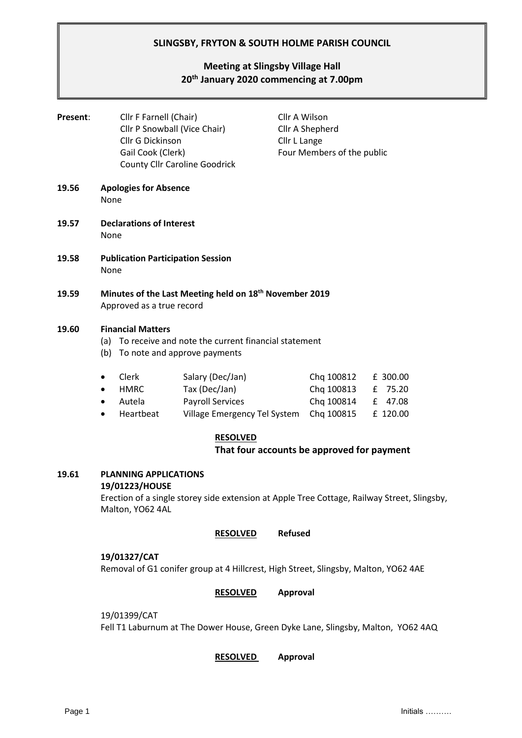# **SLINGSBY, FRYTON & SOUTH HOLME PARISH COUNCIL**

# **Meeting at Slingsby Village Hall 20th January 2020 commencing at 7.00pm**

| Present: | Cllr F Farnell (Chair)<br>Cllr P Snowball (Vice Chair)<br><b>Cllr G Dickinson</b><br>Gail Cook (Clerk)<br><b>County Cllr Caroline Goodrick</b> |                                                                                              | Cllr A Wilson<br>Cllr A Shepherd<br>Cllr L Lange<br>Four Members of the public |                                                  |
|----------|------------------------------------------------------------------------------------------------------------------------------------------------|----------------------------------------------------------------------------------------------|--------------------------------------------------------------------------------|--------------------------------------------------|
| 19.56    | <b>Apologies for Absence</b><br>None                                                                                                           |                                                                                              |                                                                                |                                                  |
| 19.57    | <b>Declarations of Interest</b><br>None                                                                                                        |                                                                                              |                                                                                |                                                  |
| 19.58    | <b>Publication Participation Session</b><br>None                                                                                               |                                                                                              |                                                                                |                                                  |
| 19.59    | Minutes of the Last Meeting held on 18 <sup>th</sup> November 2019<br>Approved as a true record                                                |                                                                                              |                                                                                |                                                  |
| 19.60    | <b>Financial Matters</b><br>To receive and note the current financial statement<br>(a)<br>(b)<br>To note and approve payments                  |                                                                                              |                                                                                |                                                  |
|          | Clerk<br>$\bullet$<br><b>HMRC</b><br>٠<br>Autela<br>$\bullet$<br>Heartbeat<br>$\bullet$                                                        | Salary (Dec/Jan)<br>Tax (Dec/Jan)<br><b>Payroll Services</b><br>Village Emergency Tel System | Chq 100812<br>Chq 100813<br>Chq 100814<br>Chq 100815                           | £ 300.00<br>75.20<br>£<br>47.08<br>£<br>£ 120.00 |

#### **RESOLVED**

#### **That four accounts be approved for payment**

# **19.61 PLANNING APPLICATIONS**

# **19/01223/HOUSE**

Erection of a single storey side extension at Apple Tree Cottage, Railway Street, Slingsby, Malton, YO62 4AL

#### **RESOLVED Refused**

#### **19/01327/CAT**

Removal of G1 conifer group at 4 Hillcrest, High Street, Slingsby, Malton, YO62 4AE

#### **RESOLVED Approval**

#### 19/01399/CAT

Fell T1 Laburnum at The Dower House, Green Dyke Lane, Slingsby, Malton, YO62 4AQ

**RESOLVED Approval**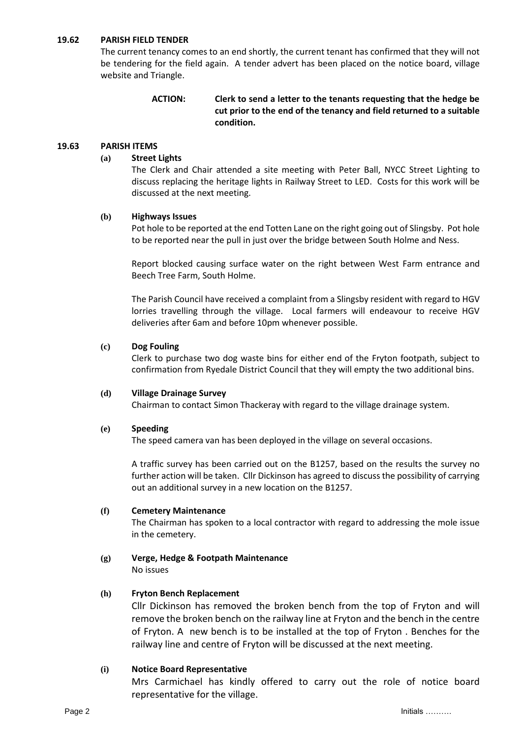#### **19.62 PARISH FIELD TENDER**

The current tenancy comes to an end shortly, the current tenant has confirmed that they will not be tendering for the field again. A tender advert has been placed on the notice board, village website and Triangle.

### **ACTION: Clerk to send a letter to the tenants requesting that the hedge be cut prior to the end of the tenancy and field returned to a suitable condition.**

#### **19.63 PARISH ITEMS**

#### **(a) Street Lights**

The Clerk and Chair attended a site meeting with Peter Ball, NYCC Street Lighting to discuss replacing the heritage lights in Railway Street to LED. Costs for this work will be discussed at the next meeting.

#### **(b) Highways Issues**

Pot hole to be reported at the end Totten Lane on the right going out of Slingsby. Pot hole to be reported near the pull in just over the bridge between South Holme and Ness.

Report blocked causing surface water on the right between West Farm entrance and Beech Tree Farm, South Holme.

The Parish Council have received a complaint from a Slingsby resident with regard to HGV lorries travelling through the village. Local farmers will endeavour to receive HGV deliveries after 6am and before 10pm whenever possible.

#### **(c) Dog Fouling**

Clerk to purchase two dog waste bins for either end of the Fryton footpath, subject to confirmation from Ryedale District Council that they will empty the two additional bins.

#### **(d) Village Drainage Survey**

Chairman to contact Simon Thackeray with regard to the village drainage system.

#### **(e) Speeding**

The speed camera van has been deployed in the village on several occasions.

A traffic survey has been carried out on the B1257, based on the results the survey no further action will be taken. Cllr Dickinson has agreed to discuss the possibility of carrying out an additional survey in a new location on the B1257.

#### **(f) Cemetery Maintenance**

The Chairman has spoken to a local contractor with regard to addressing the mole issue in the cemetery.

# **(g) Verge, Hedge & Footpath Maintenance**

No issues

# **(h) Fryton Bench Replacement**

Cllr Dickinson has removed the broken bench from the top of Fryton and will remove the broken bench on the railway line at Fryton and the bench in the centre of Fryton. A new bench is to be installed at the top of Fryton . Benches for the railway line and centre of Fryton will be discussed at the next meeting.

# **(i) Notice Board Representative**

Mrs Carmichael has kindly offered to carry out the role of notice board representative for the village.